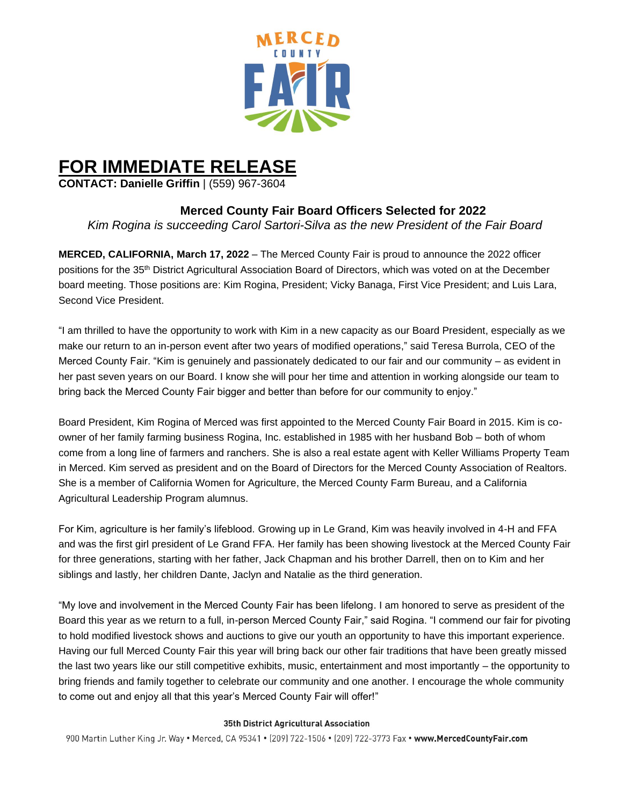

# **FOR IMMEDIATE RELEASE**

**CONTACT: Danielle Griffin** | (559) 967-3604

## **Merced County Fair Board Officers Selected for 2022**

*Kim Rogina is succeeding Carol Sartori-Silva as the new President of the Fair Board* 

**MERCED, CALIFORNIA, March 17, 2022** – The Merced County Fair is proud to announce the 2022 officer positions for the 35th District Agricultural Association Board of Directors, which was voted on at the December board meeting. Those positions are: Kim Rogina, President; Vicky Banaga, First Vice President; and Luis Lara, Second Vice President.

"I am thrilled to have the opportunity to work with Kim in a new capacity as our Board President, especially as we make our return to an in-person event after two years of modified operations," said Teresa Burrola, CEO of the Merced County Fair. "Kim is genuinely and passionately dedicated to our fair and our community – as evident in her past seven years on our Board. I know she will pour her time and attention in working alongside our team to bring back the Merced County Fair bigger and better than before for our community to enjoy."

Board President, Kim Rogina of Merced was first appointed to the Merced County Fair Board in 2015. Kim is coowner of her family farming business Rogina, Inc. established in 1985 with her husband Bob – both of whom come from a long line of farmers and ranchers. She is also a real estate agent with Keller Williams Property Team in Merced. Kim served as president and on the Board of Directors for the Merced County Association of Realtors. She is a member of California Women for Agriculture, the Merced County Farm Bureau, and a California Agricultural Leadership Program alumnus.

For Kim, agriculture is her family's lifeblood. Growing up in Le Grand, Kim was heavily involved in 4-H and FFA and was the first girl president of Le Grand FFA. Her family has been showing livestock at the Merced County Fair for three generations, starting with her father, Jack Chapman and his brother Darrell, then on to Kim and her siblings and lastly, her children Dante, Jaclyn and Natalie as the third generation.

"My love and involvement in the Merced County Fair has been lifelong. I am honored to serve as president of the Board this year as we return to a full, in-person Merced County Fair," said Rogina. "I commend our fair for pivoting to hold modified livestock shows and auctions to give our youth an opportunity to have this important experience. Having our full Merced County Fair this year will bring back our other fair traditions that have been greatly missed the last two years like our still competitive exhibits, music, entertainment and most importantly – the opportunity to bring friends and family together to celebrate our community and one another. I encourage the whole community to come out and enjoy all that this year's Merced County Fair will offer!"

#### 35th District Agricultural Association

900 Martin Luther King Jr. Way . Merced, CA 95341 . (209) 722-1506 . (209) 722-3773 Fax . www.MercedCountyFair.com